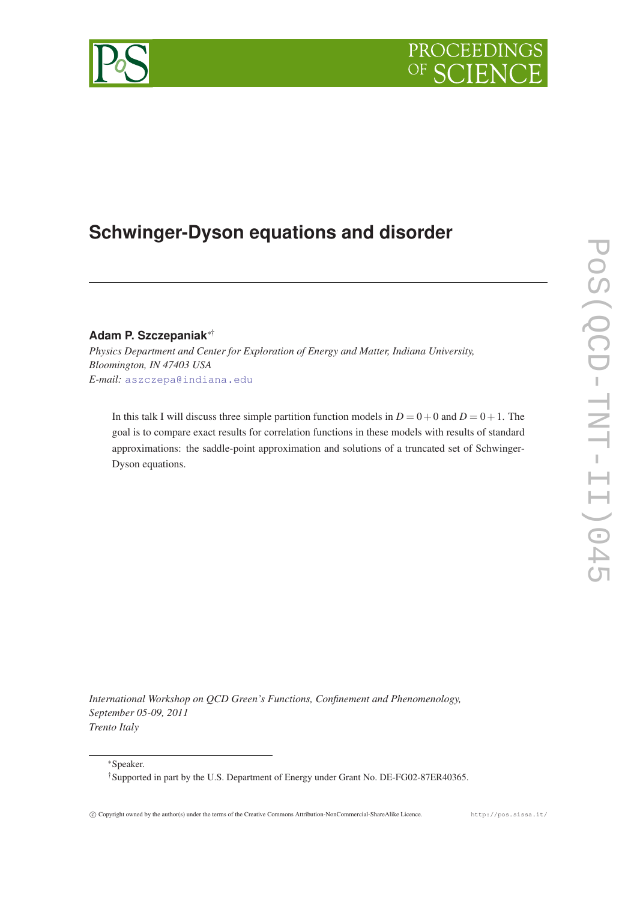# PROCEEDIN

## **Schwinger-Dyson equations and disorder**

### **Adam P. Szczepaniak**∗†

*Physics Department and Center for Exploration of Energy and Matter, Indiana University, Bloomington, IN 47403 USA E-mail:* [aszczepa@indiana.edu](mailto:aszczepa@indiana.edu)

In this talk I will discuss three simple partition function models in  $D = 0 + 0$  and  $D = 0 + 1$ . The goal is to compare exact results for correlation functions in these models with results of standard approximations: the saddle-point approximation and solutions of a truncated set of Schwinger-Dyson equations.

*International Workshop on QCD Green's Functions, Confinement and Phenomenology, September 05-09, 2011 Trento Italy*

<sup>∗</sup>Speaker.

<sup>†</sup>Supported in part by the U.S. Department of Energy under Grant No. DE-FG02-87ER40365.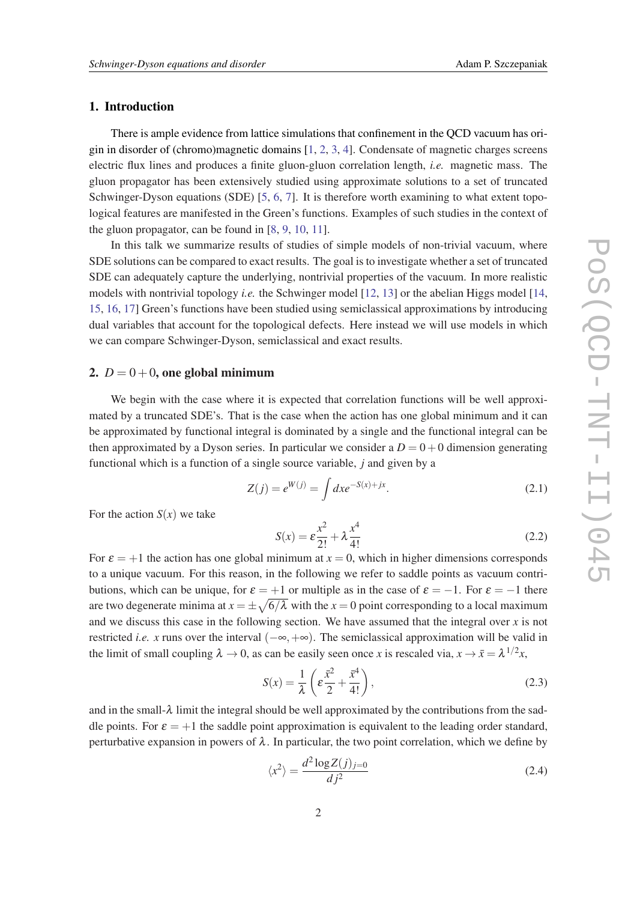#### <span id="page-1-0"></span>1. Introduction

There is ample evidence from lattice simulations that confinement in the QCD vacuum has origin in disorder of (chromo)magnetic domains [\[1](#page-6-0), [2](#page-6-0), [3](#page-6-0), [4](#page-6-0)]. Condensate of magnetic charges screens electric flux lines and produces a finite gluon-gluon correlation length, *i.e.* magnetic mass. The gluon propagator has been extensively studied using approximate solutions to a set of truncated Schwinger-Dyson equations (SDE) [[5,](#page-6-0) [6](#page-6-0), [7\]](#page-6-0). It is therefore worth examining to what extent topological features are manifested in the Green's functions. Examples of such studies in the context of the gluon propagator, can be found in [\[8,](#page-6-0) [9](#page-6-0), [10,](#page-7-0) [11](#page-7-0)].

In this talk we summarize results of studies of simple models of non-trivial vacuum, where SDE solutions can be compared to exact results. The goal is to investigate whether a set of truncated SDE can adequately capture the underlying, nontrivial properties of the vacuum. In more realistic models with nontrivial topology *i.e.* the Schwinger model [[12,](#page-7-0) [13](#page-7-0)] or the abelian Higgs model [\[14](#page-7-0), [15](#page-7-0), [16](#page-7-0), [17](#page-7-0)] Green's functions have been studied using semiclassical approximations by introducing dual variables that account for the topological defects. Here instead we will use models in which we can compare Schwinger-Dyson, semiclassical and exact results.

#### 2.  $D = 0 + 0$ , one global minimum

We begin with the case where it is expected that correlation functions will be well approximated by a truncated SDE's. That is the case when the action has one global minimum and it can be approximated by functional integral is dominated by a single and the functional integral can be then approximated by a Dyson series. In particular we consider a  $D = 0 + 0$  dimension generating functional which is a function of a single source variable, *j* and given by a

$$
Z(j) = e^{W(j)} = \int dx e^{-S(x) + jx}.
$$
 (2.1)

For the action  $S(x)$  we take

$$
S(x) = \varepsilon \frac{x^2}{2!} + \lambda \frac{x^4}{4!}
$$
 (2.2)

For  $\varepsilon = +1$  the action has one global minimum at  $x = 0$ , which in higher dimensions corresponds to a unique vacuum. For this reason, in the following we refer to saddle points as vacuum contributions, which can be unique, for  $\varepsilon = +1$  or multiple as in the case of  $\varepsilon = -1$ . For  $\varepsilon = -1$  there are two degenerate minima at  $x = \pm \sqrt{6/\lambda}$  with the  $x = 0$  point corresponding to a local maximum and we discuss this case in the following section. We have assumed that the integral over  $x$  is not restricted *i.e.* x runs over the interval  $(-\infty, +\infty)$ . The semiclassical approximation will be valid in the limit of small coupling  $\lambda \to 0$ , as can be easily seen once *x* is rescaled via,  $x \to \bar{x} = \lambda^{1/2}x$ ,

$$
S(x) = \frac{1}{\lambda} \left( \varepsilon \frac{\bar{x}^2}{2} + \frac{\bar{x}^4}{4!} \right),\tag{2.3}
$$

and in the small- $\lambda$  limit the integral should be well approximated by the contributions from the saddle points. For  $\varepsilon = +1$  the saddle point approximation is equivalent to the leading order standard, perturbative expansion in powers of  $\lambda$ . In particular, the two point correlation, which we define by

$$
\langle x^2 \rangle = \frac{d^2 \log Z(j)_{j=0}}{d j^2} \tag{2.4}
$$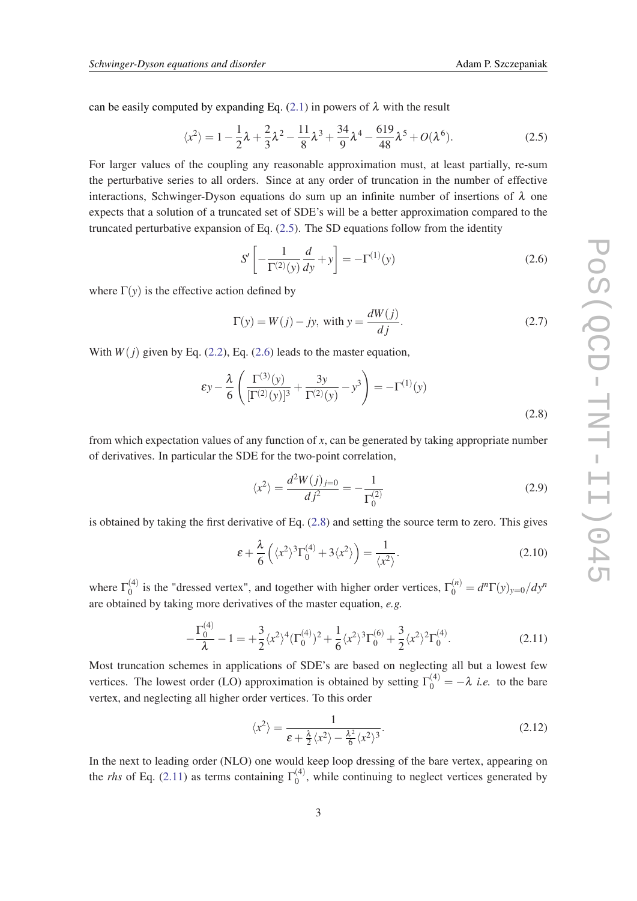<span id="page-2-0"></span>can be easily computed by expanding Eq. [\(2.1\)](#page-1-0) in powers of  $\lambda$  with the result

$$
\langle x^2 \rangle = 1 - \frac{1}{2}\lambda + \frac{2}{3}\lambda^2 - \frac{11}{8}\lambda^3 + \frac{34}{9}\lambda^4 - \frac{619}{48}\lambda^5 + O(\lambda^6). \tag{2.5}
$$

For larger values of the coupling any reasonable approximation must, at least partially, re-sum the perturbative series to all orders. Since at any order of truncation in the number of effective interactions, Schwinger-Dyson equations do sum up an infinite number of insertions of  $\lambda$  one expects that a solution of a truncated set of SDE's will be a better approximation compared to the truncated perturbative expansion of Eq. (2.5). The SD equations follow from the identity

$$
S' \left[ -\frac{1}{\Gamma^{(2)}(y)} \frac{d}{dy} + y \right] = -\Gamma^{(1)}(y)
$$
 (2.6)

where  $\Gamma(y)$  is the effective action defined by

$$
\Gamma(y) = W(j) - jy, \text{ with } y = \frac{dW(j)}{dj}.
$$
\n(2.7)

With  $W(j)$  given by Eq. ([2.2](#page-1-0)), Eq. (2.6) leads to the master equation,

$$
\varepsilon y - \frac{\lambda}{6} \left( \frac{\Gamma^{(3)}(y)}{[\Gamma^{(2)}(y)]^3} + \frac{3y}{\Gamma^{(2)}(y)} - y^3 \right) = -\Gamma^{(1)}(y)
$$
\n(2.8)

from which expectation values of any function of *x*, can be generated by taking appropriate number of derivatives. In particular the SDE for the two-point correlation,

$$
\langle x^2 \rangle = \frac{d^2 W(j)_{j=0}}{d j^2} = -\frac{1}{\Gamma_0^{(2)}}\tag{2.9}
$$

is obtained by taking the first derivative of Eq. (2.8) and setting the source term to zero. This gives

$$
\varepsilon + \frac{\lambda}{6} \left( \langle x^2 \rangle^3 \Gamma_0^{(4)} + 3 \langle x^2 \rangle \right) = \frac{1}{\langle x^2 \rangle}.
$$
 (2.10)

where  $\Gamma_0^{(4)}$  $\int_0^{(4)}$  is the "dressed vertex", and together with higher order vertices,  $\Gamma_0^{(n)} = d^n \Gamma(y)_{y=0}/dy^n$ are obtained by taking more derivatives of the master equation, *e.g.*

$$
-\frac{\Gamma_0^{(4)}}{\lambda} - 1 = +\frac{3}{2} \langle x^2 \rangle^4 (\Gamma_0^{(4)})^2 + \frac{1}{6} \langle x^2 \rangle^3 \Gamma_0^{(6)} + \frac{3}{2} \langle x^2 \rangle^2 \Gamma_0^{(4)}.
$$
 (2.11)

Most truncation schemes in applications of SDE's are based on neglecting all but a lowest few vertices. The lowest order (LO) approximation is obtained by setting  $\Gamma_0^{(4)} = -\lambda$  *i.e.* to the bare vertex, and neglecting all higher order vertices. To this order

$$
\langle x^2 \rangle = \frac{1}{\varepsilon + \frac{\lambda}{2} \langle x^2 \rangle - \frac{\lambda^2}{6} \langle x^2 \rangle^3}.
$$
\n(2.12)

In the next to leading order (NLO) one would keep loop dressing of the bare vertex, appearing on the *rhs* of Eq. (2.11) as terms containing  $\Gamma_0^{(4)}$  $\binom{1}{0}$ , while continuing to neglect vertices generated by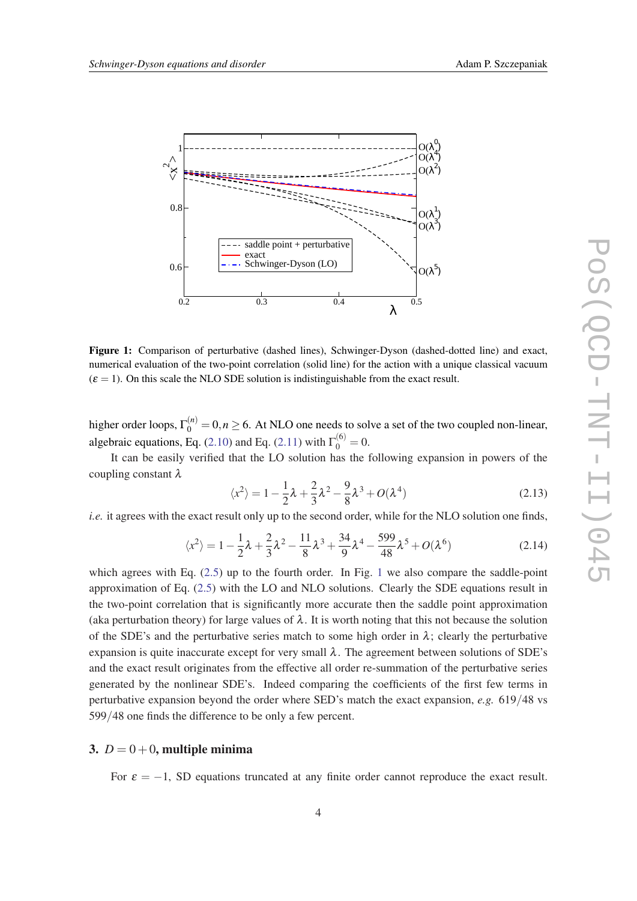

Figure 1: Comparison of perturbative (dashed lines), Schwinger-Dyson (dashed-dotted line) and exact, numerical evaluation of the two-point correlation (solid line) for the action with a unique classical vacuum  $(\varepsilon = 1)$ . On this scale the NLO SDE solution is indistinguishable from the exact result.

higher order loops,  $\Gamma_0^{(n)} = 0, n \ge 6$ . At NLO one needs to solve a set of the two coupled non-linear, algebraic equations, Eq. ([2.10\)](#page-2-0) and Eq. ([2.11\)](#page-2-0) with  $\Gamma_0^{(6)} = 0$ .

It can be easily verified that the LO solution has the following expansion in powers of the coupling constant λ

$$
\langle x^2 \rangle = 1 - \frac{1}{2}\lambda + \frac{2}{3}\lambda^2 - \frac{9}{8}\lambda^3 + O(\lambda^4)
$$
 (2.13)

*i.e.* it agrees with the exact result only up to the second order, while for the NLO solution one finds,

$$
\langle x^2 \rangle = 1 - \frac{1}{2}\lambda + \frac{2}{3}\lambda^2 - \frac{11}{8}\lambda^3 + \frac{34}{9}\lambda^4 - \frac{599}{48}\lambda^5 + O(\lambda^6)
$$
 (2.14)

which agrees with Eq.  $(2.5)$  $(2.5)$  up to the fourth order. In Fig. 1 we also compare the saddle-point approximation of Eq. ([2.5](#page-2-0)) with the LO and NLO solutions. Clearly the SDE equations result in the two-point correlation that is significantly more accurate then the saddle point approximation (aka perturbation theory) for large values of  $\lambda$ . It is worth noting that this not because the solution of the SDE's and the perturbative series match to some high order in  $\lambda$ ; clearly the perturbative expansion is quite inaccurate except for very small  $\lambda$ . The agreement between solutions of SDE's and the exact result originates from the effective all order re-summation of the perturbative series generated by the nonlinear SDE's. Indeed comparing the coefficients of the first few terms in perturbative expansion beyond the order where SED's match the exact expansion, *e.g.* 619/48 vs 599/48 one finds the difference to be only a few percent.

#### 3.  $D = 0 + 0$ , multiple minima

For  $\varepsilon = -1$ , SD equations truncated at any finite order cannot reproduce the exact result.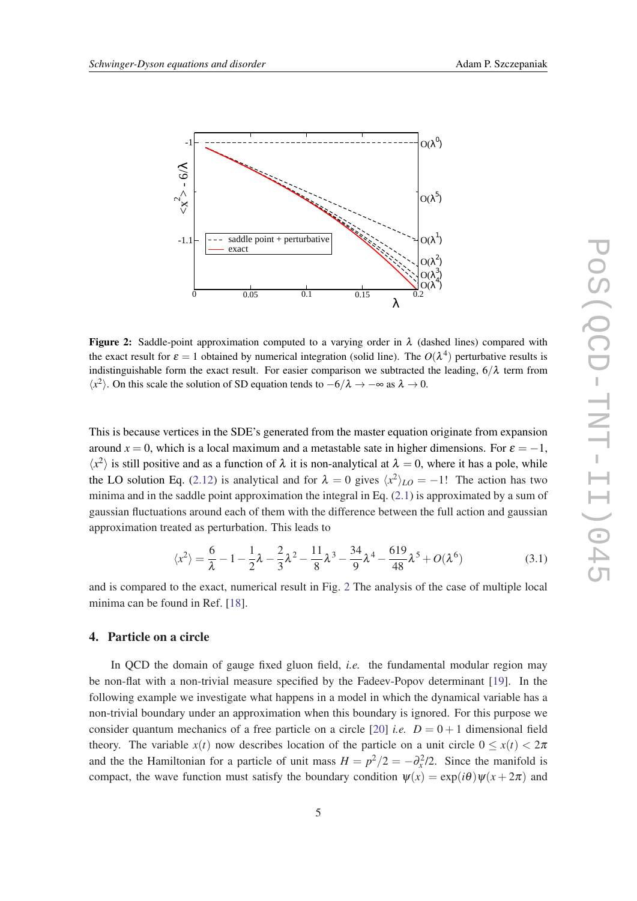

**Figure 2:** Saddle-point approximation computed to a varying order in  $\lambda$  (dashed lines) compared with the exact result for  $\varepsilon = 1$  obtained by numerical integration (solid line). The  $O(\lambda^4)$  perturbative results is indistinguishable form the exact result. For easier comparison we subtracted the leading,  $6/\lambda$  term from  $\langle x^2 \rangle$ . On this scale the solution of SD equation tends to  $-6/\lambda \rightarrow -\infty$  as  $\lambda \rightarrow 0$ .

This is because vertices in the SDE's generated from the master equation originate from expansion around  $x = 0$ , which is a local maximum and a metastable sate in higher dimensions. For  $\varepsilon = -1$ ,  $\langle x^2 \rangle$  is still positive and as a function of  $\lambda$  it is non-analytical at  $\lambda = 0$ , where it has a pole, while the LO solution Eq. [\(2.12](#page-2-0)) is analytical and for  $\lambda = 0$  gives  $\langle x^2 \rangle_{LO} = -1!$  The action has two minima and in the saddle point approximation the integral in Eq. [\(2.1\)](#page-1-0) is approximated by a sum of gaussian fluctuations around each of them with the difference between the full action and gaussian approximation treated as perturbation. This leads to

$$
\langle x^2 \rangle = \frac{6}{\lambda} - 1 - \frac{1}{2}\lambda - \frac{2}{3}\lambda^2 - \frac{11}{8}\lambda^3 - \frac{34}{9}\lambda^4 - \frac{619}{48}\lambda^5 + O(\lambda^6)
$$
 (3.1)

and is compared to the exact, numerical result in Fig. 2 The analysis of the case of multiple local minima can be found in Ref. [[18](#page-7-0)].

#### 4. Particle on a circle

In QCD the domain of gauge fixed gluon field, *i.e.* the fundamental modular region may be non-flat with a non-trivial measure specified by the Fadeev-Popov determinant [[19](#page-7-0)]. In the following example we investigate what happens in a model in which the dynamical variable has a non-trivial boundary under an approximation when this boundary is ignored. For this purpose we consider quantum mechanics of a free particle on a circle [[20\]](#page-7-0) *i.e.*  $D = 0 + 1$  dimensional field theory. The variable  $x(t)$  now describes location of the particle on a unit circle  $0 \le x(t) \le 2\pi$ and the the Hamiltonian for a particle of unit mass  $H = p^2/2 = -\partial_x^2/2$ . Since the manifold is compact, the wave function must satisfy the boundary condition  $\psi(x) = \exp(i\theta)\psi(x+2\pi)$  and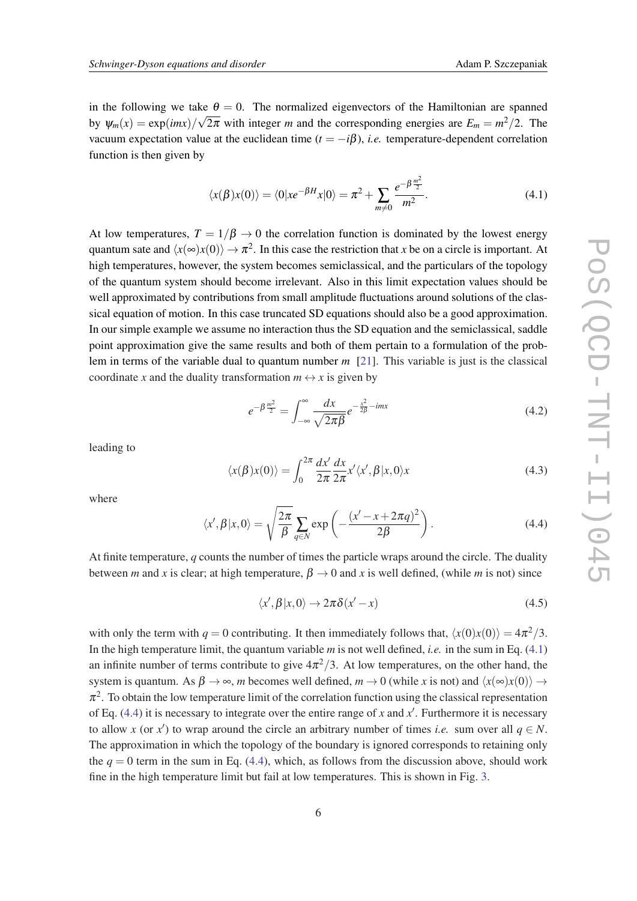in the following we take  $\theta = 0$ . The normalized eigenvectors of the Hamiltonian are spanned by  $\psi_m(x) = \exp(imx)/\sqrt{2\pi}$  with integer *m* and the corresponding energies are  $E_m = m^2/2$ . The vacuum expectation value at the euclidean time  $(t = -i\beta)$ , *i.e.* temperature-dependent correlation function is then given by

$$
\langle x(\beta)x(0)\rangle = \langle 0|x e^{-\beta H}x|0\rangle = \pi^2 + \sum_{m\neq 0} \frac{e^{-\beta \frac{m^2}{2}}}{m^2}.
$$
 (4.1)

At low temperatures,  $T = 1/\beta \rightarrow 0$  the correlation function is dominated by the lowest energy quantum sate and  $\langle x(\infty)x(0)\rangle \to \pi^2$ . In this case the restriction that *x* be on a circle is important. At high temperatures, however, the system becomes semiclassical, and the particulars of the topology of the quantum system should become irrelevant. Also in this limit expectation values should be well approximated by contributions from small amplitude fluctuations around solutions of the classical equation of motion. In this case truncated SD equations should also be a good approximation. In our simple example we assume no interaction thus the SD equation and the semiclassical, saddle point approximation give the same results and both of them pertain to a formulation of the problem in terms of the variable dual to quantum number *m* [[21\]](#page-7-0). This variable is just is the classical coordinate *x* and the duality transformation  $m \leftrightarrow x$  is given by

$$
e^{-\beta \frac{m^2}{2}} = \int_{-\infty}^{\infty} \frac{dx}{\sqrt{2\pi\beta}} e^{-\frac{x^2}{2\beta} - imx}
$$
(4.2)

leading to

$$
\langle x(\beta)x(0)\rangle = \int_0^{2\pi} \frac{dx'}{2\pi} \frac{dx}{2\pi} x' \langle x', \beta | x, 0 \rangle x \tag{4.3}
$$

where

$$
\langle x', \beta | x, 0 \rangle = \sqrt{\frac{2\pi}{\beta}} \sum_{q \in N} \exp\left(-\frac{(x'-x+2\pi q)^2}{2\beta}\right).
$$
 (4.4)

At finite temperature, *q* counts the number of times the particle wraps around the circle. The duality between *m* and *x* is clear; at high temperature,  $\beta \rightarrow 0$  and *x* is well defined, (while *m* is not) since

$$
\langle x', \beta | x, 0 \rangle \to 2\pi \delta(x' - x) \tag{4.5}
$$

with only the term with  $q = 0$  contributing. It then immediately follows that,  $\langle x(0)x(0) \rangle = 4\pi^2/3$ . In the high temperature limit, the quantum variable *m* is not well defined, *i.e.* in the sum in Eq. (4.1) an infinite number of terms contribute to give  $4\pi^2/3$ . At low temperatures, on the other hand, the system is quantum. As  $\beta \to \infty$ , *m* becomes well defined,  $m \to 0$  (while *x* is not) and  $\langle x(\infty)x(0) \rangle \to$  $\pi^2$ . To obtain the low temperature limit of the correlation function using the classical representation of Eq.  $(4.4)$  it is necessary to integrate over the entire range of *x* and *x'*. Furthermore it is necessary to allow *x* (or *x'*) to wrap around the circle an arbitrary number of times *i.e.* sum over all  $q \in N$ . The approximation in which the topology of the boundary is ignored corresponds to retaining only the  $q = 0$  term in the sum in Eq. (4.4), which, as follows from the discussion above, should work fine in the high temperature limit but fail at low temperatures. This is shown in Fig. [3](#page-6-0).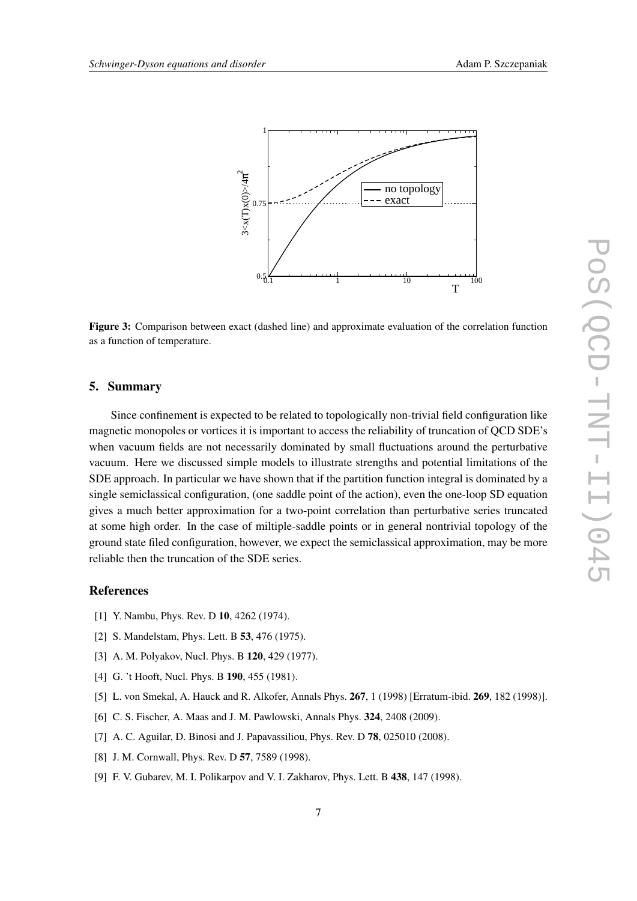<span id="page-6-0"></span>

Figure 3: Comparison between exact (dashed line) and approximate evaluation of the correlation function as a function of temperature.

#### 5. Summary

Since confinement is expected to be related to topologically non-trivial field configuration like magnetic monopoles or vortices it is important to access the reliability of truncation of QCD SDE's when vacuum fields are not necessarily dominated by small fluctuations around the perturbative vacuum. Here we discussed simple models to illustrate strengths and potential limitations of the SDE approach. In particular we have shown that if the partition function integral is dominated by a single semiclassical configuration, (one saddle point of the action), even the one-loop SD equation gives a much better approximation for a two-point correlation than perturbative series truncated at some high order. In the case of miltiple-saddle points or in general nontrivial topology of the ground state filed configuration, however, we expect the semiclassical approximation, may be more reliable then the truncation of the SDE series.

#### References

- [1] Y. Nambu, Phys. Rev. D 10, 4262 (1974).
- [2] S. Mandelstam, Phys. Lett. B **53**, 476 (1975).
- [3] A. M. Polyakov, Nucl. Phys. B 120, 429 (1977).
- [4] G. 't Hooft, Nucl. Phys. B 190, 455 (1981).
- [5] L. von Smekal, A. Hauck and R. Alkofer, Annals Phys. **267**, 1 (1998) [Erratum-ibid. **269**, 182 (1998)].
- [6] C. S. Fischer, A. Maas and J. M. Pawlowski, Annals Phys. 324, 2408 (2009).
- [7] A. C. Aguilar, D. Binosi and J. Papavassiliou, Phys. Rev. D **78**, 025010 (2008).
- [8] J. M. Cornwall, Phys. Rev. D 57, 7589 (1998).
- [9] F. V. Gubarev, M. I. Polikarpov and V. I. Zakharov, Phys. Lett. B 438, 147 (1998).